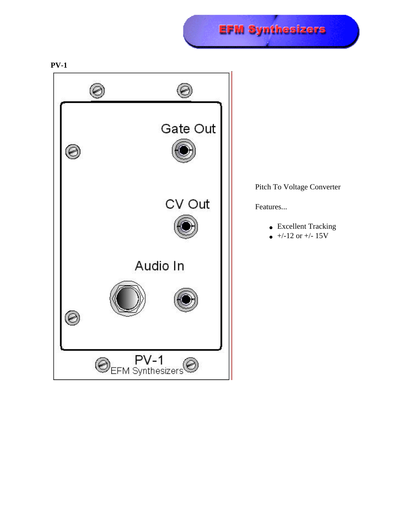**EFM Synthesizers** 





Pitch To Voltage Converter

Features...

- Excellent Tracking
- $\bullet$  +/-12 or +/- 15V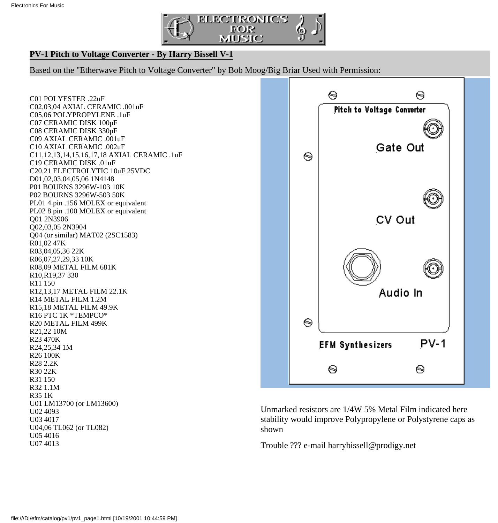

### **PV-1 Pitch to Voltage Converter - By Harry Bissell V-1**

Based on the "Etherwave Pitch to Voltage Converter" by Bob Moog/Big Briar Used with Permission:

C01 POLYESTER .22uF C02,03,04 AXIAL CERAMIC .001uF C05,06 POLYPROPYLENE .1uF C07 CERAMIC DISK 100pF C08 CERAMIC DISK 330pF C09 AXIAL CERAMIC .001uF C10 AXIAL CERAMIC .002uF C11,12,13,14,15,16,17,18 AXIAL CERAMIC .1uF C19 CERAMIC DISK .01uF C20,21 ELECTROLYTIC 10uF 25VDC D01,02,03,04,05,06 1N4148 P01 BOURNS 3296W-103 10K P02 BOURNS 3296W-503 50K PL01 4 pin .156 MOLEX or equivalent PL02 8 pin .100 MOLEX or equivalent Q01 2N3906 Q02,03,05 2N3904 Q04 (or similar) MAT02 (2SC1583) R01,02 47K R03,04,05,36 22K R06,07,27,29,33 10K R08,09 METAL FILM 681K R10,R19,37 330 R11 150 R12,13,17 METAL FILM 22.1K R14 METAL FILM 1.2M R15,18 METAL FILM 49.9K R16 PTC 1K \*TEMPCO\* R20 METAL FILM 499K R21,22 10M R23 470K R24,25,34 1M R26 100K R28 2.2K R30 22K R31 150 R32 1.1M R35 1K U01 LM13700 (or LM13600) U02 4093 U03 4017 U04,06 TL062 (or TL082) U05 4016 U07 4013



Unmarked resistors are 1/4W 5% Metal Film indicated here stability would improve Polypropylene or Polystyrene caps as shown

Trouble ??? e-mail harrybissell@prodigy.net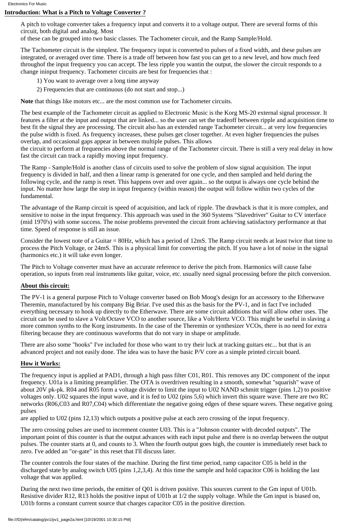## **Introduction: What is a Pitch to Voltage Converter ?**

A pitch to voltage converter takes a frequency input and converts it to a voltage output. There are several forms of this circuit, both digital and analog. Most

of these can be grouped into two basic classes. The Tachometer circuit, and the Ramp Sample/Hold.

The Tachometer circuit is the simplest. The frequency input is converted to pulses of a fixed width, and these pulses are integrated, or averaged over time. There is a trade off between how fast you can get to a new level, and how much feed throughof the input frequency you can accept. The less ripple you wantin the output, the slower the circuit responds to a change ininput frequency. Tachometer circuits are best for frequencies that :

- 1) You want to average over a long time anyway
- 2) Frequencies that are continuous (do not start and stop...)

**Note** that things like motors etc... are the most common use for Tachometer circuits.

The best example of the Tachometer circuit as applied to Electronic Music is the Korg MS-20 external signal processor. It features a filter at the input and output that are linked... so the user can set the tradeoff between ripple and acquisition time to best fit the signal they are processing. The circuit also has an extended range Tachometer circuit... at very low frequencies the pulse width is fixed. As frequency increases, these pulses get closer together. At even higher frequencies the pulses overlap, and occasional gaps appear in between multiple pulses. This allows

the circuit to perform at frequencies above the normal range of the Tachometer circuit. There is still a very real delay in how fast the circuit can track a rapidly moving input frequency.

The Ramp - Sample/Hold is another class of circuits used to solve the problem of slow signal acquisition. The input frequency is divided in half, and then a linear ramp is generated for one cycle, and then sampled and held during the following cycle, and the ramp is reset. This happens over and over again... so the output is always one cycle behind the input. No matter how large the step in input frequency (within reason) the output will follow within two cycles of the fundamental.

The advantage of the Ramp circuit is speed of acquisition, and lack of ripple. The drawback is that it is more complex, and sensitive to noise in the input frequency. This approach was used in the 360 Systems "Slavedriver" Guitar to CV interface (mid 1970's) with some success. The noise problems prevented the circuit from achieving satisfactory performance at that time. Speed of response is still an issue.

Consider the lowest note of a Guitar = 80Hz, which has a period of 12mS. The Ramp circuit needs at least twice that time to process the Pitch Voltage, or 24mS. This is a physical limit for converting the pitch. If you have a lot of noise in the signal (harmonics etc.) it will take even longer.

The Pitch to Voltage converter must have an accurate reference to derive the pitch from. Harmonics will cause false operation, so inputs from real instruments like guitar, voice, etc. usually need signal processing before the pitch conversion.

## **About this circuit:**

The PV-1 is a general purpose Pitch to Voltage converter based on Bob Moog's design for an accessory to the Etherwave Theremin, manufactured by his company Big Briar. I've used this as the basis for the PV-1, and in fact I've included everything necessary to hook up directly to the Etherwave. There are some circuit additions that will allow other uses. The circuit can be used to slave a Volt/Octave VCO to another source, like a Volt/Hertz VCO. This might be useful in slaving a more common synths to the Korg instruments. In the case of the Theremin or synthesizer VCOs, there is no need for extra filtering because they are continuous waveforms that do not vary in shape or amplitude.

There are also some "hooks" I've included for those who want to try their luck at tracking guitars etc... but that is an advanced project and not easily done. The idea was to have the basic P/V core as a simple printed circuit board.

## **How it Works:**

The frequency input is applied at PAD1, through a high pass filter C01, R01. This removes any DC component of the input frequency. U01a is a limiting preamplifier. The OTA is overdriven resulting in a smooth, somewhat "squarish" wave of about 20V pk-pk. R04 and R05 form a voltage divider to limit the input to U02 NAND schmitt trigger (pins 1,2) to positive voltages only. U02 squares the input wave, and it is fed to U02 (pins 5,6) which invert this square wave. There are two RC networks (R06,C03 and R07,C04) which differentiate the negative going edges of these square waves. These negative going pulses

are applied to U02 (pins 12,13) which outputs a positive pulse at each zero crossing of the input frequency.

The zero crossing pulses are used to increment counter U03. This is a "Johnson counter with decoded outputs". The important point of this counter is that the output advances with each input pulse and there is no overlap between the output pulses. The counter starts at 0, and counts to 3. When the fourth output goes high, the counter is immediately reset back to zero. I've added an "or-gate" in this reset that I'll discuss later.

The counter controls the four states of the machine. During the first time period, ramp capacitor C05 is held in the discharged state by analog switch U05 (pins 1,2,3,4). At this time the sample and hold capacitor C06 is holding the last voltage that was applied.

During the next two time periods, the emitter of Q01 is driven positive. This sources current to the Gm input of U01b. Resistive divider R12, R13 holds the positive input of U01b at 1/2 the supply voltage. While the Gm input is biased on, U01b forms a constant current source that charges capacitor C05 in the positive direction.

file:///D|/efm/catalog/pv1/pv1\_page2a.html [10/19/2001 10:30:15 PM]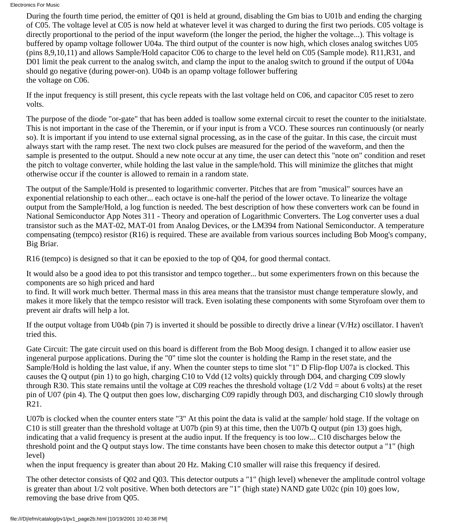During the fourth time period, the emitter of Q01 is held at ground, disabling the Gm bias to U01b and ending the charging of C05. The voltage level at C05 is now held at whatever level it was charged to during the first two periods. C05 voltage is directly proportional to the period of the input waveform (the longer the period, the higher the voltage...). This voltage is buffered by opamp voltage follower U04a. The third output of the counter is now high, which closes analog switches U05 (pins 8,9,10,11) and allows Sample/Hold capacitor C06 to charge to the level held on C05 (Sample mode). R11,R31, and D01 limit the peak current to the analog switch, and clamp the input to the analog switch to ground if the output of U04a should go negative (during power-on). U04b is an opamp voltage follower buffering the voltage on C06.

If the input frequency is still present, this cycle repeats with the last voltage held on C06, and capacitor C05 reset to zero volts.

The purpose of the diode "or-gate" that has been added is toallow some external circuit to reset the counter to the initialstate. This is not important in the case of the Theremin, or if your input is from a VCO. These sources run continuously (or nearly so). It is important if you intend to use external signal processing, as in the case of the guitar. In this case, the circuit must always start with the ramp reset. The next two clock pulses are measured for the period of the waveform, and then the sample is presented to the output. Should a new note occur at any time, the user can detect this "note on" condition and reset the pitch to voltage converter, while holding the last value in the sample/hold. This will minimize the glitches that might otherwise occur if the counter is allowed to remain in a random state.

The output of the Sample/Hold is presented to logarithmic converter. Pitches that are from "musical" sources have an exponential relationship to each other... each octave is one-half the period of the lower octave. To linearize the voltage output from the Sample/Hold, a log function is needed. The best description of how these converters work can be found in National Semiconductor App Notes 311 - Theory and operation of Logarithmic Converters. The Log converter uses a dual transistor such as the MAT-02, MAT-01 from Analog Devices, or the LM394 from National Semiconductor. A temperature compensating (tempco) resistor (R16) is required. These are available from various sources including Bob Moog's company, Big Briar.

R16 (tempco) is designed so that it can be epoxied to the top of Q04, for good thermal contact.

It would also be a good idea to pot this transistor and tempco together... but some experimenters frown on this because the components are so high priced and hard

to find. It will work much better. Thermal mass in this area means that the transistor must change temperature slowly, and makes it more likely that the tempco resistor will track. Even isolating these components with some Styrofoam over them to prevent air drafts will help a lot.

If the output voltage from U04b (pin 7) is inverted it should be possible to directly drive a linear (V/Hz) oscillator. I haven't tried this.

Gate Circuit: The gate circuit used on this board is different from the Bob Moog design. I changed it to allow easier use ingeneral purpose applications. During the "0" time slot the counter is holding the Ramp in the reset state, and the Sample/Hold is holding the last value, if any. When the counter steps to time slot "1" D Flip-flop U07a is clocked. This causes the Q output (pin 1) to go high, charging C10 to Vdd (12 volts) quickly through D04, and charging C09 slowly through R30. This state remains until the voltage at C09 reaches the threshold voltage ( $1/2$  Vdd = about 6 volts) at the reset pin of U07 (pin 4). The Q output then goes low, discharging C09 rapidly through D03, and discharging C10 slowly through R21.

U07b is clocked when the counter enters state "3" At this point the data is valid at the sample/ hold stage. If the voltage on C10 is still greater than the threshold voltage at U07b (pin 9) at this time, then the U07b Q output (pin 13) goes high, indicating that a valid frequency is present at the audio input. If the frequency is too low... C10 discharges below the threshold point and the Q output stays low. The time constants have been chosen to make this detector output a "1" (high level)

when the input frequency is greater than about 20 Hz. Making C10 smaller will raise this frequency if desired.

The other detector consists of Q02 and Q03. This detector outputs a "1" (high level) whenever the amplitude control voltage is greater than about 1/2 volt positive. When both detectors are "1" (high state) NAND gate U02c (pin 10) goes low, removing the base drive from Q05.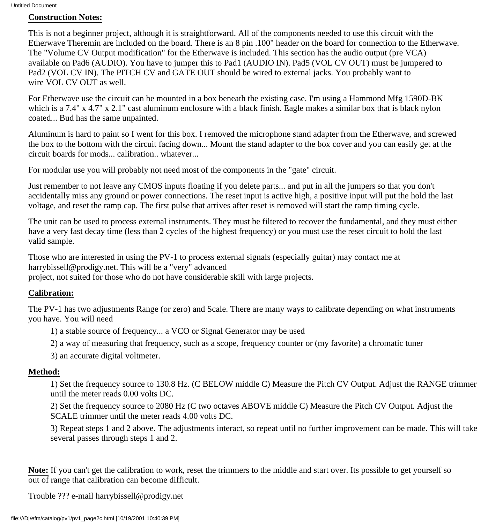## **Construction Notes:**

This is not a beginner project, although it is straightforward. All of the components needed to use this circuit with the Etherwave Theremin are included on the board. There is an 8 pin .100" header on the board for connection to the Etherwave. The "Volume CV Output modification" for the Etherwave is included. This section has the audio output (pre VCA) available on Pad6 (AUDIO). You have to jumper this to Pad1 (AUDIO IN). Pad5 (VOL CV OUT) must be jumpered to Pad2 (VOL CV IN). The PITCH CV and GATE OUT should be wired to external jacks. You probably want to wire VOL CV OUT as well.

For Etherwave use the circuit can be mounted in a box beneath the existing case. I'm using a Hammond Mfg 1590D-BK which is a 7.4" x 4.7" x 2.1" cast aluminum enclosure with a black finish. Eagle makes a similar box that is black nylon coated... Bud has the same unpainted.

Aluminum is hard to paint so I went for this box. I removed the microphone stand adapter from the Etherwave, and screwed the box to the bottom with the circuit facing down... Mount the stand adapter to the box cover and you can easily get at the circuit boards for mods... calibration.. whatever...

For modular use you will probably not need most of the components in the "gate" circuit.

Just remember to not leave any CMOS inputs floating if you delete parts... and put in all the jumpers so that you don't accidentally miss any ground or power connections. The reset input is active high, a positive input will put the hold the last voltage, and reset the ramp cap. The first pulse that arrives after reset is removed will start the ramp timing cycle.

The unit can be used to process external instruments. They must be filtered to recover the fundamental, and they must either have a very fast decay time (less than 2 cycles of the highest frequency) or you must use the reset circuit to hold the last valid sample.

Those who are interested in using the PV-1 to process external signals (especially guitar) may contact me at harrybissell@prodigy.net. This will be a "very" advanced project, not suited for those who do not have considerable skill with large projects.

# **Calibration:**

The PV-1 has two adjustments Range (or zero) and Scale. There are many ways to calibrate depending on what instruments you have. You will need

1) a stable source of frequency... a VCO or Signal Generator may be used

2) a way of measuring that frequency, such as a scope, frequency counter or (my favorite) a chromatic tuner

3) an accurate digital voltmeter.

# **Method:**

1) Set the frequency source to 130.8 Hz. (C BELOW middle C) Measure the Pitch CV Output. Adjust the RANGE trimmer until the meter reads 0.00 volts DC.

2) Set the frequency source to 2080 Hz (C two octaves ABOVE middle C) Measure the Pitch CV Output. Adjust the SCALE trimmer until the meter reads 4.00 volts DC.

3) Repeat steps 1 and 2 above. The adjustments interact, so repeat until no further improvement can be made. This will take several passes through steps 1 and 2.

**Note:** If you can't get the calibration to work, reset the trimmers to the middle and start over. Its possible to get yourself so out of range that calibration can become difficult.

Trouble ??? e-mail harrybissell@prodigy.net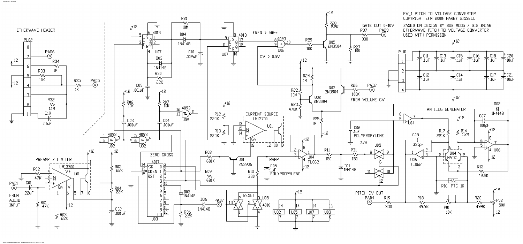